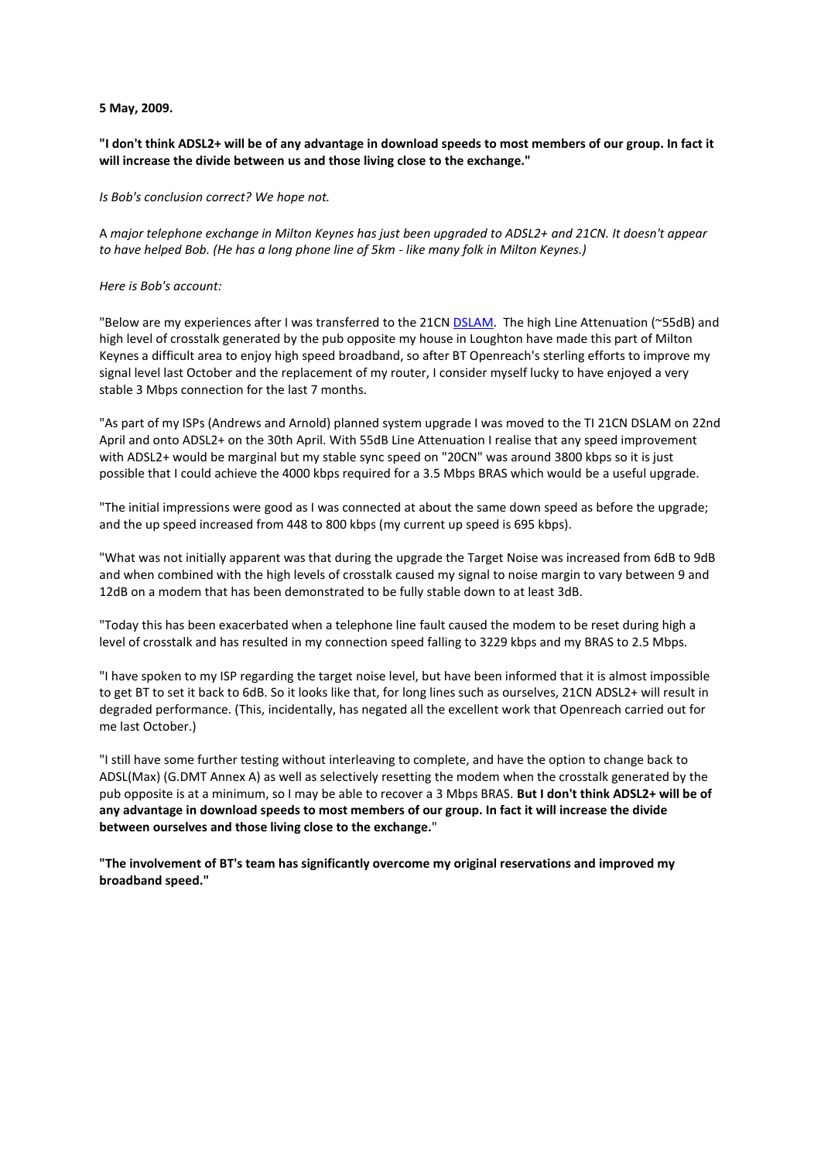## **5 May, 2009.**

## **"I don't think ADSL2+ will be of any advantage in download speeds to most members of our group. In fact it will increase the divide between us and those living close to the exchange."**

*Is Bob's conclusion correct? We hope not.*

A *major telephone exchange in Milton Keynes has just been upgraded to ADSL2+ and 21CN. It doesn't appear to have helped Bob. (He has a long phone line of 5km - like many folk in Milton Keynes.)*

## *Here is Bob's account:*

"Below are my experiences after I was transferred to the 21C[N DSLAM.](http://en.wikipedia.org/wiki/DSLAM) The high Line Attenuation (~55dB) and high level of crosstalk generated by the pub opposite my house in Loughton have made this part of Milton Keynes a difficult area to enjoy high speed broadband, so after BT Openreach's sterling efforts to improve my signal level last October and the replacement of my router, I consider myself lucky to have enjoyed a very stable 3 Mbps connection for the last 7 months.

"As part of my ISPs (Andrews and Arnold) planned system upgrade I was moved to the TI 21CN DSLAM on 22nd April and onto ADSL2+ on the 30th April. With 55dB Line Attenuation I realise that any speed improvement with ADSL2+ would be marginal but my stable sync speed on "20CN" was around 3800 kbps so it is just possible that I could achieve the 4000 kbps required for a 3.5 Mbps BRAS which would be a useful upgrade.

"The initial impressions were good as I was connected at about the same down speed as before the upgrade; and the up speed increased from 448 to 800 kbps (my current up speed is 695 kbps).

"What was not initially apparent was that during the upgrade the Target Noise was increased from 6dB to 9dB and when combined with the high levels of crosstalk caused my signal to noise margin to vary between 9 and 12dB on a modem that has been demonstrated to be fully stable down to at least 3dB.

"Today this has been exacerbated when a telephone line fault caused the modem to be reset during high a level of crosstalk and has resulted in my connection speed falling to 3229 kbps and my BRAS to 2.5 Mbps.

"I have spoken to my ISP regarding the target noise level, but have been informed that it is almost impossible to get BT to set it back to 6dB. So it looks like that, for long lines such as ourselves, 21CN ADSL2+ will result in degraded performance. (This, incidentally, has negated all the excellent work that Openreach carried out for me last October.)

"I still have some further testing without interleaving to complete, and have the option to change back to ADSL(Max) (G.DMT Annex A) as well as selectively resetting the modem when the crosstalk generated by the pub opposite is at a minimum, so I may be able to recover a 3 Mbps BRAS. **But I don't think ADSL2+ will be of any advantage in download speeds to most members of our group. In fact it will increase the divide between ourselves and those living close to the exchange.**"

**"The involvement of BT's team has significantly overcome my original reservations and improved my broadband speed."**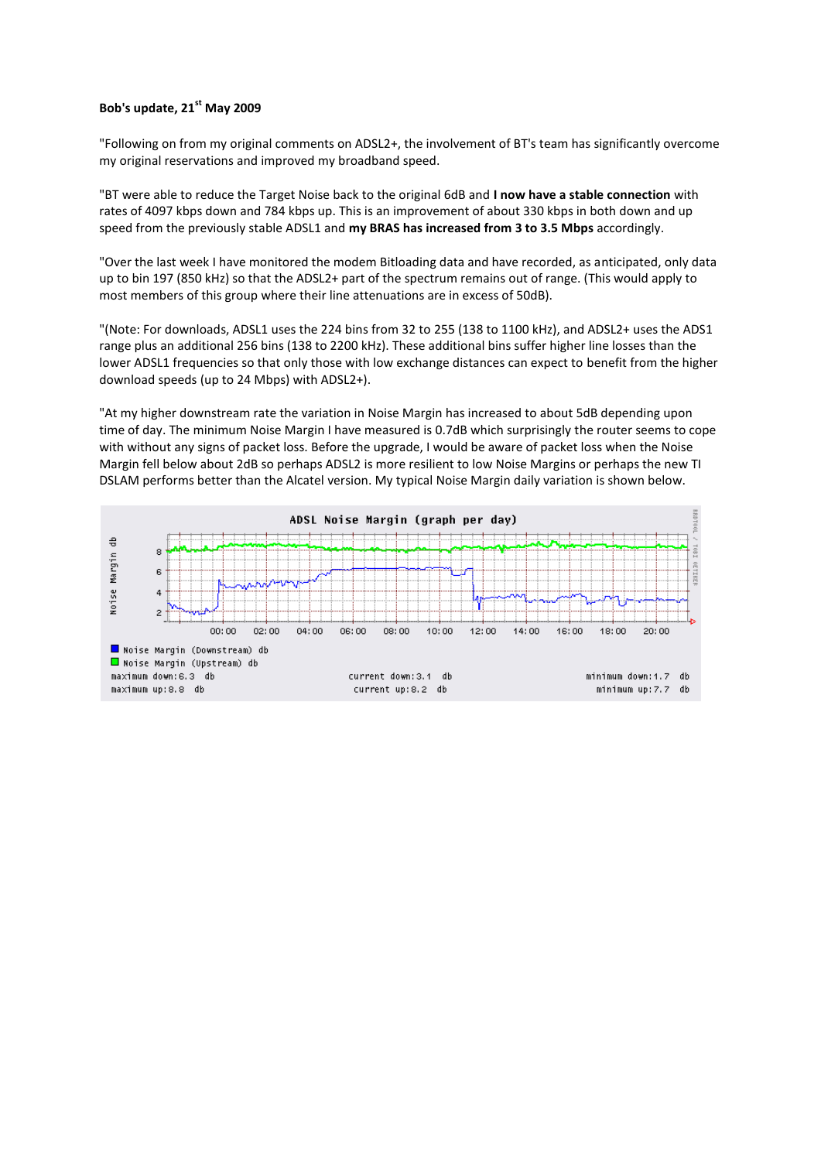## **Bob's update, 21st May 2009**

"Following on from my original comments on ADSL2+, the involvement of BT's team has significantly overcome my original reservations and improved my broadband speed.

"BT were able to reduce the Target Noise back to the original 6dB and **I now have a stable connection** with rates of 4097 kbps down and 784 kbps up. This is an improvement of about 330 kbps in both down and up speed from the previously stable ADSL1 and **my BRAS has increased from 3 to 3.5 Mbps** accordingly.

"Over the last week I have monitored the modem Bitloading data and have recorded, as anticipated, only data up to bin 197 (850 kHz) so that the ADSL2+ part of the spectrum remains out of range. (This would apply to most members of this group where their line attenuations are in excess of 50dB).

"(Note: For downloads, ADSL1 uses the 224 bins from 32 to 255 (138 to 1100 kHz), and ADSL2+ uses the ADS1 range plus an additional 256 bins (138 to 2200 kHz). These additional bins suffer higher line losses than the lower ADSL1 frequencies so that only those with low exchange distances can expect to benefit from the higher download speeds (up to 24 Mbps) with ADSL2+).

"At my higher downstream rate the variation in Noise Margin has increased to about 5dB depending upon time of day. The minimum Noise Margin I have measured is 0.7dB which surprisingly the router seems to cope with without any signs of packet loss. Before the upgrade, I would be aware of packet loss when the Noise Margin fell below about 2dB so perhaps ADSL2 is more resilient to low Noise Margins or perhaps the new TI DSLAM performs better than the Alcatel version. My typical Noise Margin daily variation is shown below.